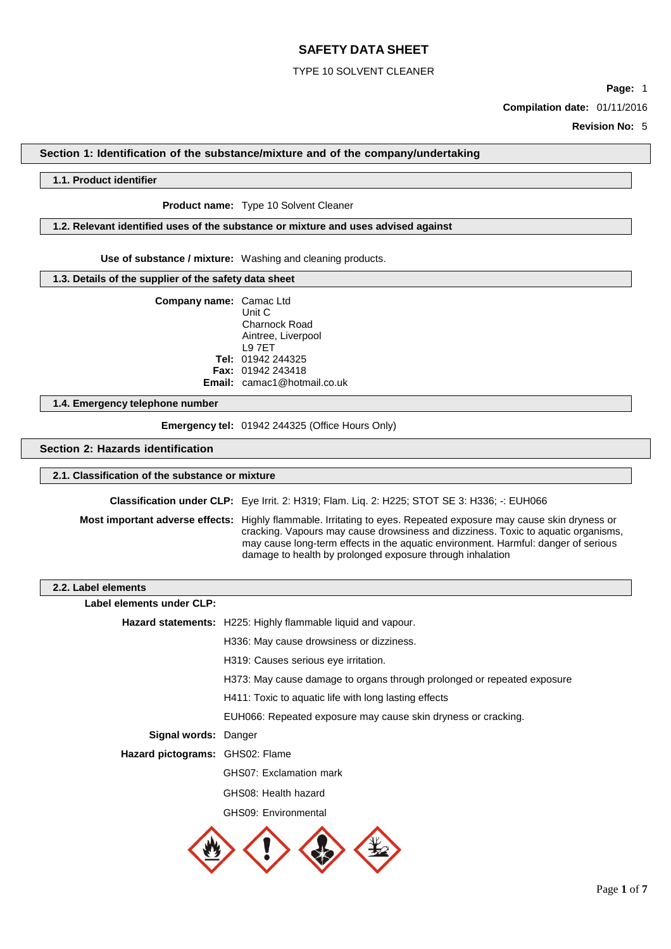## TYPE 10 SOLVENT CLEANER

**Page:** 1 **Compilation date:** 01/11/2016

**Revision No:** 5

## **Section 1: Identification of the substance/mixture and of the company/undertaking**

### **1.1. Product identifier**

### **Product name:** Type 10 Solvent Cleaner

### **1.2. Relevant identified uses of the substance or mixture and uses advised against**

**Use of substance / mixture:** Washing and cleaning products.

### **1.3. Details of the supplier of the safety data sheet**

| <b>Company name:</b> Camac Ltd | Unit C                             |
|--------------------------------|------------------------------------|
|                                | Charnock Road                      |
|                                | Aintree, Liverpool                 |
|                                | <b>L97FT</b>                       |
|                                | Tel: 01942 244325                  |
|                                | <b>Fax: 01942 243418</b>           |
|                                | <b>Email:</b> camac1@hotmail.co.uk |

### **1.4. Emergency telephone number**

**Emergency tel:** 01942 244325 (Office Hours Only)

### **Section 2: Hazards identification**

## **2.1. Classification of the substance or mixture**

**Classification under CLP:** Eye Irrit. 2: H319; Flam. Liq. 2: H225; STOT SE 3: H336; -: EUH066

**Most important adverse effects:** Highly flammable. Irritating to eyes. Repeated exposure may cause skin dryness or cracking. Vapours may cause drowsiness and dizziness. Toxic to aquatic organisms, may cause long-term effects in the aquatic environment. Harmful: danger of serious damage to health by prolonged exposure through inhalation

### **2.2. Label elements**

| bel elements                    |                                                                         |
|---------------------------------|-------------------------------------------------------------------------|
| Label elements under CLP:       |                                                                         |
|                                 | <b>Hazard statements:</b> H225: Highly flammable liquid and vapour.     |
|                                 | H336: May cause drowsiness or dizziness.                                |
|                                 | H319: Causes serious eye irritation.                                    |
|                                 | H373: May cause damage to organs through prolonged or repeated exposure |
|                                 | H411: Toxic to aquatic life with long lasting effects                   |
|                                 | EUH066: Repeated exposure may cause skin dryness or cracking.           |
| Signal words: Danger            |                                                                         |
| Hazard pictograms: GHS02: Flame |                                                                         |
|                                 | GHS07: Exclamation mark                                                 |
|                                 | GHS08: Health hazard                                                    |
|                                 | GHS09: Environmental                                                    |
|                                 |                                                                         |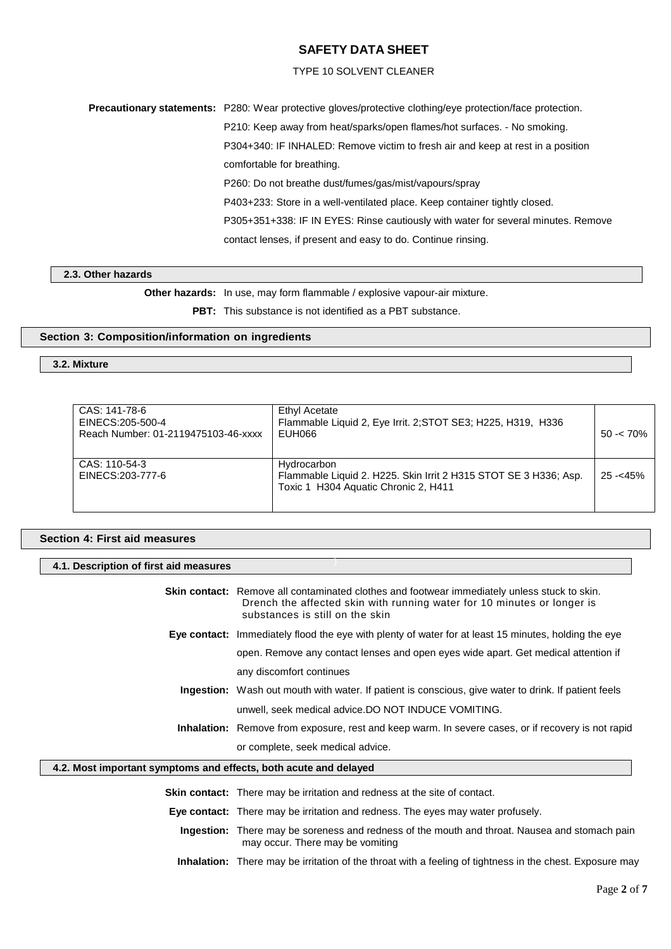## TYPE 10 SOLVENT CLEANER

**Precautionary statements:** P280: Wear protective gloves/protective clothing/eye protection/face protection.

P210: Keep away from heat/sparks/open flames/hot surfaces. - No smoking.

P304+340: IF INHALED: Remove victim to fresh air and keep at rest in a position

comfortable for breathing.

P260: Do not breathe dust/fumes/gas/mist/vapours/spray

P403+233: Store in a well-ventilated place. Keep container tightly closed.

P305+351+338: IF IN EYES: Rinse cautiously with water for several minutes. Remove

contact lenses, if present and easy to do. Continue rinsing.

### **2.3. Other hazards**

**Other hazards:** In use, may form flammable / explosive vapour-air mixture.

**PBT:** This substance is not identified as a PBT substance.

## **Section 3: Composition/information on ingredients**

## **3.2. Mixture**

| CAS: 141-78-6<br>EINECS: 205-500-4<br>Reach Number: 01-2119475103-46-xxxx | Ethyl Acetate<br>Flammable Liquid 2, Eye Irrit. 2; STOT SE3; H225, H319, H336<br>EUH066                                 | $50 - 70\%$ |
|---------------------------------------------------------------------------|-------------------------------------------------------------------------------------------------------------------------|-------------|
| CAS: 110-54-3<br>EINECS:203-777-6                                         | Hydrocarbon<br>Flammable Liquid 2. H225. Skin Irrit 2 H315 STOT SE 3 H336; Asp.<br>Toxic 1 H304 Aquatic Chronic 2, H411 | $25 - 45%$  |

)

# **Section 4: First aid measures**

### **4.1. Description of first aid measures**

|                                                                  | <b>Skin contact:</b> Remove all contaminated clothes and footwear immediately unless stuck to skin.<br>Drench the affected skin with running water for 10 minutes or longer is<br>substances is still on the skin |  |
|------------------------------------------------------------------|-------------------------------------------------------------------------------------------------------------------------------------------------------------------------------------------------------------------|--|
|                                                                  | Eye contact: Immediately flood the eye with plenty of water for at least 15 minutes, holding the eye                                                                                                              |  |
|                                                                  | open. Remove any contact lenses and open eyes wide apart. Get medical attention if                                                                                                                                |  |
|                                                                  | any discomfort continues                                                                                                                                                                                          |  |
|                                                                  | <b>Ingestion:</b> Wash out mouth with water. If patient is conscious, give water to drink. If patient feels                                                                                                       |  |
|                                                                  | unwell, seek medical advice. DO NOT INDUCE VOMITING.                                                                                                                                                              |  |
|                                                                  | <b>Inhalation:</b> Remove from exposure, rest and keep warm. In severe cases, or if recovery is not rapid                                                                                                         |  |
|                                                                  | or complete, seek medical advice.                                                                                                                                                                                 |  |
| 4.2. Most important symptoms and effects, both acute and delayed |                                                                                                                                                                                                                   |  |
|                                                                  | <b>Skin contact:</b> There may be irritation and redness at the site of contact.                                                                                                                                  |  |
|                                                                  | <b>Eye contact:</b> There may be irritation and redness. The eyes may water profusely.                                                                                                                            |  |
|                                                                  | <b>Ingestion:</b> There may be soreness and redness of the mouth and throat. Nausea and stomach pain<br>may occur. There may be vomiting                                                                          |  |

**Inhalation:** There may be irritation of the throat with a feeling of tightness in the chest. Exposure may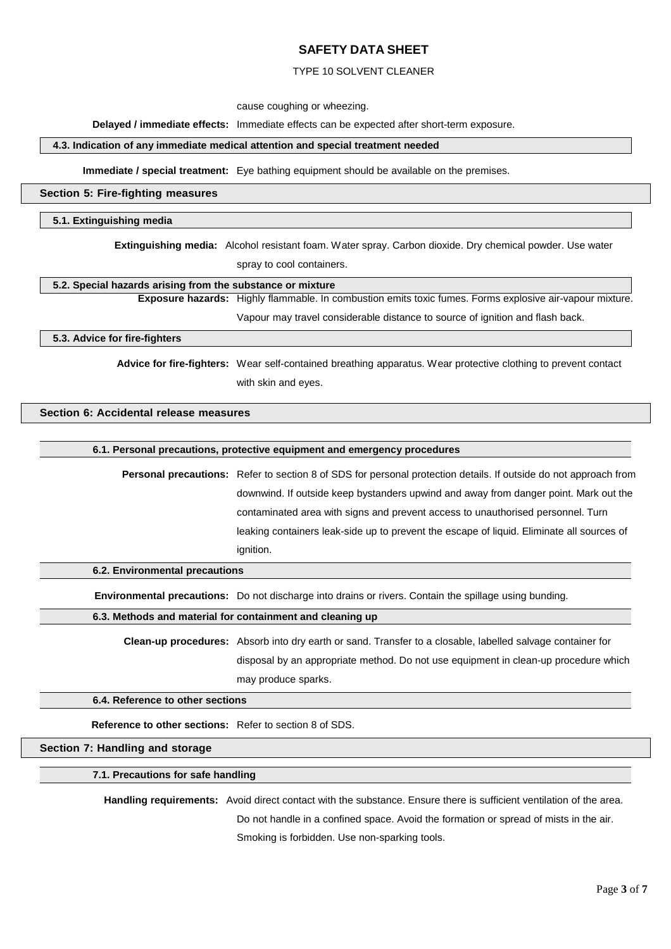## TYPE 10 SOLVENT CLEANER

cause coughing or wheezing.

### **Delayed / immediate effects:** Immediate effects can be expected after short-term exposure.

## **4.3. Indication of any immediate medical attention and special treatment needed**

**Immediate / special treatment:** Eye bathing equipment should be available on the premises.

### **Section 5: Fire-fighting measures**

### **5.1. Extinguishing media**

**Extinguishing media:** Alcohol resistant foam. Water spray. Carbon dioxide. Dry chemical powder. Use water spray to cool containers.

### **5.2. Special hazards arising from the substance or mixture**

**Exposure hazards:** Highly flammable. In combustion emits toxic fumes. Forms explosive air-vapour mixture. Vapour may travel considerable distance to source of ignition and flash back.

**5.3. Advice for fire-fighters**

**Advice for fire-fighters:** Wear self-contained breathing apparatus. Wear protective clothing to prevent contact with skin and eyes.

# **Section 6: Accidental release measures**

### **6.1. Personal precautions, protective equipment and emergency procedures**

**Personal precautions:** Refer to section 8 of SDS for personal protection details. If outside do not approach from downwind. If outside keep bystanders upwind and away from danger point. Mark out the contaminated area with signs and prevent access to unauthorised personnel. Turn leaking containers leak-side up to prevent the escape of liquid. Eliminate all sources of ignition.

**6.2. Environmental precautions**

**Environmental precautions:** Do not discharge into drains or rivers. Contain the spillage using bunding.

## **6.3. Methods and material for containment and cleaning up**

**Clean-up procedures:** Absorb into dry earth or sand. Transfer to a closable, labelled salvage container for disposal by an appropriate method. Do not use equipment in clean-up procedure which may produce sparks.

### **6.4. Reference to other sections**

**Reference to other sections:** Refer to section 8 of SDS.

## **Section 7: Handling and storage**

### **7.1. Precautions for safe handling**

**Handling requirements:** Avoid direct contact with the substance. Ensure there is sufficient ventilation of the area.

Do not handle in a confined space. Avoid the formation or spread of mists in the air.

Smoking is forbidden. Use non-sparking tools.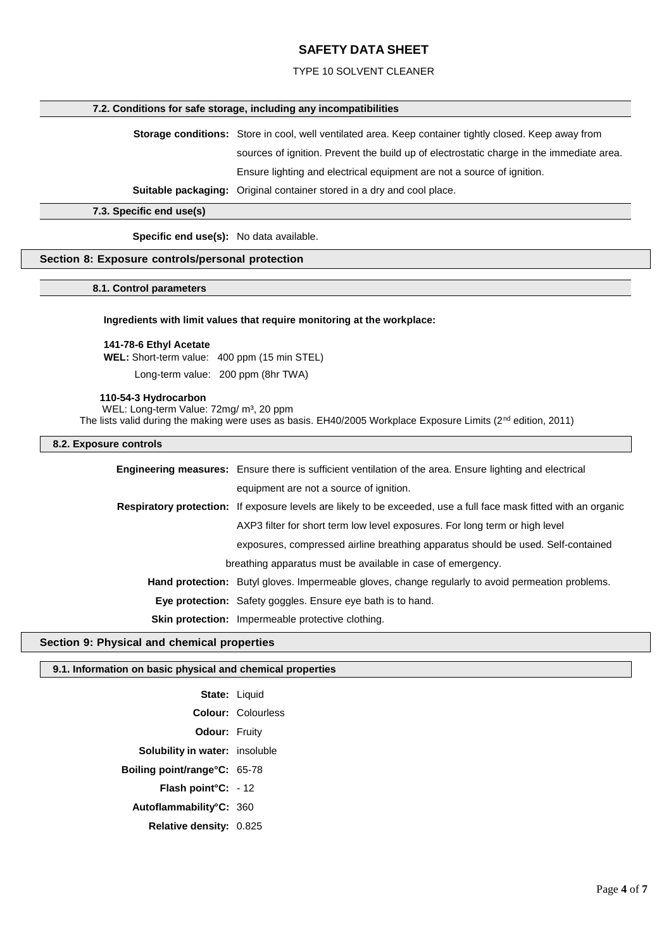## TYPE 10 SOLVENT CLEANER

### **7.2. Conditions for safe storage, including any incompatibilities**

**Storage conditions:** Store in cool, well ventilated area. Keep container tightly closed. Keep away from sources of ignition. Prevent the build up of electrostatic charge in the immediate area. Ensure lighting and electrical equipment are not a source of ignition.

**Suitable packaging:** Original container stored in a dry and cool place.

**7.3. Specific end use(s)**

**Specific end use(s):** No data available.

## **Section 8: Exposure controls/personal protection**

### **8.1. Control parameters**

### **Ingredients with limit values that require monitoring at the workplace:**

### **141-78-6 Ethyl Acetate**

**WEL:** Short-term value: 400 ppm (15 min STEL)

Long-term value: 200 ppm (8hr TWA)

#### **110-54-3 Hydrocarbon**

WEL: Long-term Value: 72mg/ m<sup>3</sup>, 20 ppm

The lists valid during the making were uses as basis. EH40/2005 Workplace Exposure Limits (2<sup>nd</sup> edition, 2011)

## **8.2. Exposure controls**

|  | <b>Engineering measures:</b> Ensure there is sufficient ventilation of the area. Ensure lighting and electrical          |
|--|--------------------------------------------------------------------------------------------------------------------------|
|  | equipment are not a source of ignition.                                                                                  |
|  | <b>Respiratory protection:</b> If exposure levels are likely to be exceeded, use a full face mask fitted with an organic |
|  | AXP3 filter for short term low level exposures. For long term or high level                                              |
|  | exposures, compressed airline breathing apparatus should be used. Self-contained                                         |
|  | breathing apparatus must be available in case of emergency.                                                              |
|  | Hand protection: Butyl gloves. Impermeable gloves, change regularly to avoid permeation problems.                        |
|  | <b>Eye protection:</b> Safety goggles. Ensure eye bath is to hand.                                                       |
|  | <b>Skin protection:</b> Impermeable protective clothing.                                                                 |
|  |                                                                                                                          |

### **Section 9: Physical and chemical properties**

### **9.1. Information on basic physical and chemical properties**

| State: Liquid                          |
|----------------------------------------|
| <b>Colour: Colourless</b>              |
| Odour: Fruity                          |
| <b>Solubility in water:</b> insoluble  |
| <b>Boiling point/range°C: 65-78</b>    |
| <b>Flash point <math>C: -12</math></b> |
| Autoflammability°C: 360                |
| <b>Relative density: 0.825</b>         |
|                                        |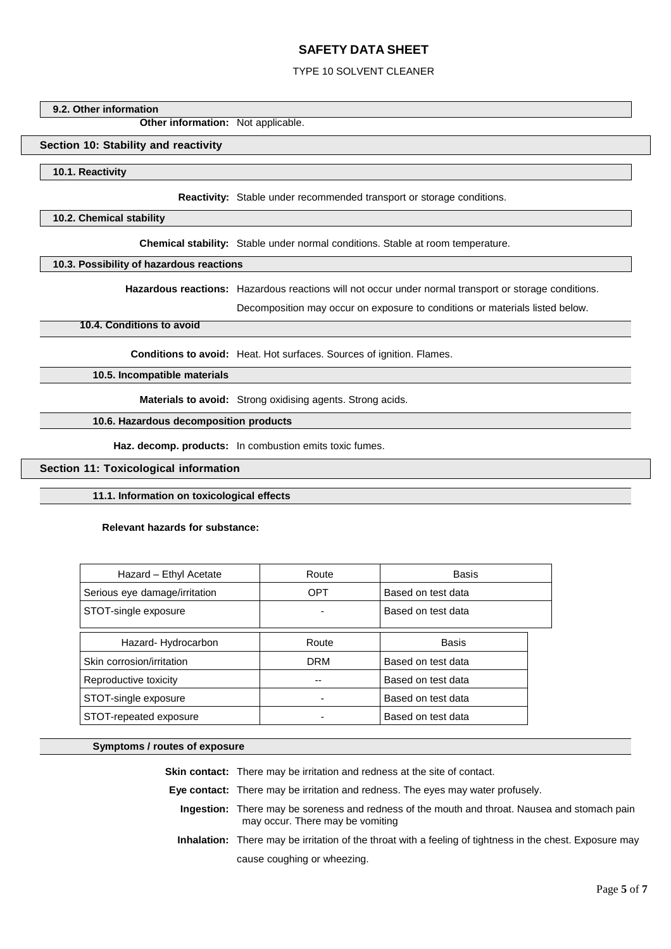## TYPE 10 SOLVENT CLEANER

### **9.2. Other information**

**Other information:** Not applicable.

### **Section 10: Stability and reactivity**

### **10.1. Reactivity**

**Reactivity:** Stable under recommended transport or storage conditions.

### **10.2. Chemical stability**

**Chemical stability:** Stable under normal conditions. Stable at room temperature.

## **10.3. Possibility of hazardous reactions**

**Hazardous reactions:** Hazardous reactions will not occur under normal transport or storage conditions.

Decomposition may occur on exposure to conditions or materials listed below.

## **10.4. Conditions to avoid**

**Conditions to avoid:** Heat. Hot surfaces. Sources of ignition. Flames.

**10.5. Incompatible materials**

**Materials to avoid:** Strong oxidising agents. Strong acids.

### **10.6. Hazardous decomposition products**

**Haz. decomp. products:** In combustion emits toxic fumes.

## **Section 11: Toxicological information**

### **11.1. Information on toxicological effects**

### **Relevant hazards for substance:**

| Hazard - Ethyl Acetate        | Route      | Basis              |
|-------------------------------|------------|--------------------|
| Serious eye damage/irritation | <b>OPT</b> | Based on test data |
| STOT-single exposure          |            | Based on test data |
| Hazard-Hydrocarbon            | Route      | Basis              |
| Skin corrosion/irritation     | <b>DRM</b> | Based on test data |
| Reproductive toxicity         | --         | Based on test data |
| STOT-single exposure          |            | Based on test data |
| STOT-repeated exposure        |            | Based on test data |

## **Symptoms / routes of exposure**

**Skin contact:** There may be irritation and redness at the site of contact. **Eye contact:** There may be irritation and redness. The eyes may water profusely. **Ingestion:** There may be soreness and redness of the mouth and throat. Nausea and stomach pain may occur. There may be vomiting **Inhalation:** There may be irritation of the throat with a feeling of tightness in the chest. Exposure may cause coughing or wheezing.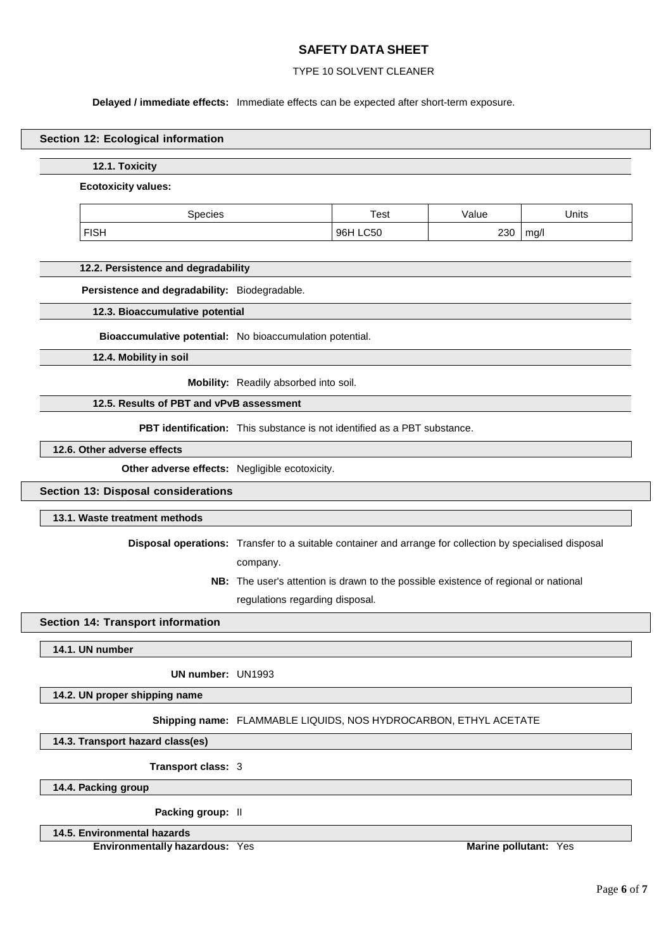## TYPE 10 SOLVENT CLEANER

### **Delayed / immediate effects:** Immediate effects can be expected after short-term exposure.

### **Section 12: Ecological information**

### **12.1. Toxicity**

#### **Ecotoxicity values:**

| oecies?     | Test               | /alue | Units |
|-------------|--------------------|-------|-------|
| <b>FISH</b> | <b>LC50</b><br>96H | 230   | mg/l  |

### **12.2. Persistence and degradability**

**Persistence and degradability:** Biodegradable.

**12.3. Bioaccumulative potential**

**Bioaccumulative potential:** No bioaccumulation potential.

**12.4. Mobility in soil**

**Mobility:** Readily absorbed into soil.

## **12.5. Results of PBT and vPvB assessment**

**PBT identification:** This substance is not identified as a PBT substance.

**12.6. Other adverse effects**

**Other adverse effects:** Negligible ecotoxicity.

## **Section 13: Disposal considerations**

## **13.1. Waste treatment methods**

**Disposal operations:** Transfer to a suitable container and arrange for collection by specialised disposal company.

> **NB:** The user's attention is drawn to the possible existence of regional or national regulations regarding disposal.

## **Section 14: Transport information**

**14.1. UN number**

**UN number:** UN1993

## **14.2. UN proper shipping name**

## **Shipping name:** FLAMMABLE LIQUIDS, NOS HYDROCARBON, ETHYL ACETATE

**14.3. Transport hazard class(es)**

**Transport class:** 3

**14.4. Packing group**

**Packing group:** II

## **14.5. Environmental hazards**

**Environmentally hazardous:** Yes **Marine Marine Marine Marine Marine Marine Marine Marine Marine Marine Marine Marine Marine Marine Marine Marine Marine Marine Marine Marine Marine**